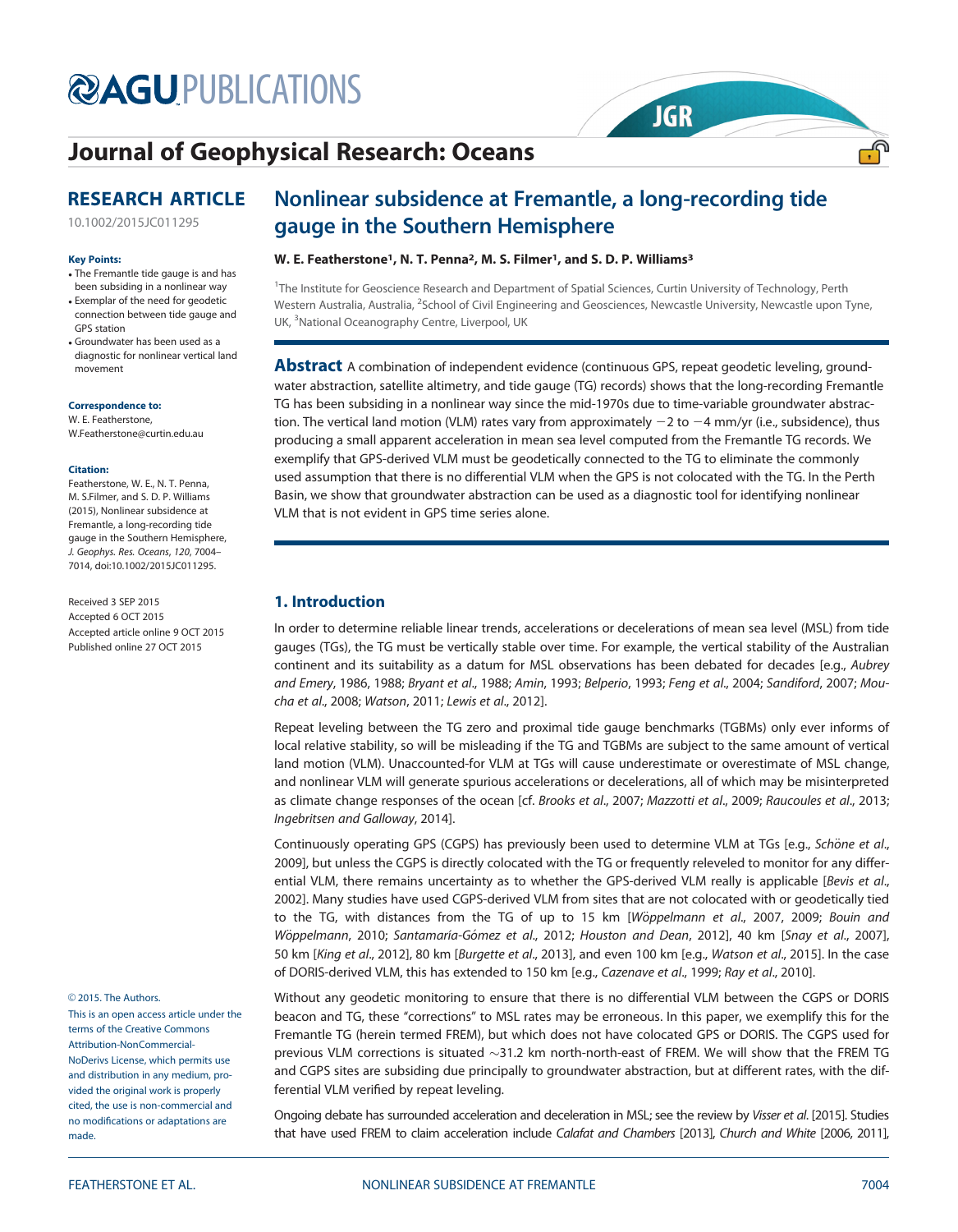# **@AGU[PUBLICATIONS](http://publications.agu.org/)**

# [Journal of Geophysical Research: Oceans](http://onlinelibrary.wiley.com/journal/10.1002/(ISSN)2169-9291/)

# RESEARCH ARTICLE

[10.1002/2015JC011295](http://dx.doi.org/10.1002/2015JC011295)

#### Key Points:

- The Fremantle tide gauge is and has been subsiding in a nonlinear way
- Exemplar of the need for geodetic connection between tide gauge and GPS station
- Groundwater has been used as a diagnostic for nonlinear vertical land movement

Correspondence to: W. E. Featherstone,

W.Featherstone@curtin.edu.au

#### Citation:

Featherstone, W. E., N. T. Penna, M. S.Filmer, and S. D. P. Williams (2015), Nonlinear subsidence at Fremantle, a long-recording tide gauge in the Southern Hemisphere, J. Geophys. Res. Oceans, 120, 7004– 7014, doi:10.1002/2015JC011295.

Received 3 SEP 2015 Accepted 6 OCT 2015 Accepted article online 9 OCT 2015 Published online 27 OCT 2015

© 2015. The Authors.

This is an open access article under the terms of the [Creative Commons](http://creativecommons.org/licenses/by-nc-nd/4.0/) [Attribution-NonCommercial-](http://creativecommons.org/licenses/by-nc-nd/4.0/)[NoDerivs](http://creativecommons.org/licenses/by-nc-nd/4.0/) License, which permits use and distribution in any medium, provided the original work is properly cited, the use is non-commercial and no modifications or adaptations are made.

# Nonlinear subsidence at Fremantle, a long-recording tide gauge in the Southern Hemisphere

**JGR** 

<u>್,</u>

## W. E. Featherstone<sup>1</sup>, N. T. Penna<sup>2</sup>, M. S. Filmer<sup>1</sup>, and S. D. P. Williams<sup>3</sup>

<sup>1</sup>The Institute for Geoscience Research and Department of Spatial Sciences, Curtin University of Technology, Perth Western Australia, Australia, <sup>2</sup>School of Civil Engineering and Geosciences, Newcastle University, Newcastle upon Tyne, UK, <sup>3</sup>National Oceanography Centre, Liverpool, UK

**Abstract** A combination of independent evidence (continuous GPS, repeat geodetic leveling, groundwater abstraction, satellite altimetry, and tide gauge (TG) records) shows that the long-recording Fremantle TG has been subsiding in a nonlinear way since the mid-1970s due to time-variable groundwater abstraction. The vertical land motion (VLM) rates vary from approximately  $-2$  to  $-4$  mm/yr (i.e., subsidence), thus producing a small apparent acceleration in mean sea level computed from the Fremantle TG records. We exemplify that GPS-derived VLM must be geodetically connected to the TG to eliminate the commonly used assumption that there is no differential VLM when the GPS is not colocated with the TG. In the Perth Basin, we show that groundwater abstraction can be used as a diagnostic tool for identifying nonlinear VLM that is not evident in GPS time series alone.

## 1. Introduction

In order to determine reliable linear trends, accelerations or decelerations of mean sea level (MSL) from tide gauges (TGs), the TG must be vertically stable over time. For example, the vertical stability of the Australian continent and its suitability as a datum for MSL observations has been debated for decades [e.g., Aubrey and Emery, 1986, 1988; Bryant et al., 1988; Amin, 1993; Belperio, 1993; Feng et al., 2004; Sandiford, 2007; Moucha et al., 2008; Watson, 2011; Lewis et al., 2012].

Repeat leveling between the TG zero and proximal tide gauge benchmarks (TGBMs) only ever informs of local relative stability, so will be misleading if the TG and TGBMs are subject to the same amount of vertical land motion (VLM). Unaccounted-for VLM at TGs will cause underestimate or overestimate of MSL change, and nonlinear VLM will generate spurious accelerations or decelerations, all of which may be misinterpreted as climate change responses of the ocean [cf. Brooks et al., 2007; Mazzotti et al., 2009; Raucoules et al., 2013; Ingebritsen and Galloway, 2014].

Continuously operating GPS (CGPS) has previously been used to determine VLM at TGs [e.g., Schöne et al., 2009], but unless the CGPS is directly colocated with the TG or frequently releveled to monitor for any differential VLM, there remains uncertainty as to whether the GPS-derived VLM really is applicable [Bevis et al., 2002]. Many studies have used CGPS-derived VLM from sites that are not colocated with or geodetically tied to the TG, with distances from the TG of up to 15 km [Wöppelmann et al., 2007, 2009; Bouin and Wöppelmann, 2010; Santamaría-Gómez et al., 2012; Houston and Dean, 2012], 40 km [Snay et al., 2007], 50 km [King et al., 2012], 80 km [Burgette et al., 2013], and even 100 km [e.g., Watson et al., 2015]. In the case of DORIS-derived VLM, this has extended to 150 km [e.g., Cazenave et al., 1999; Ray et al., 2010].

Without any geodetic monitoring to ensure that there is no differential VLM between the CGPS or DORIS beacon and TG, these ''corrections'' to MSL rates may be erroneous. In this paper, we exemplify this for the Fremantle TG (herein termed FREM), but which does not have colocated GPS or DORIS. The CGPS used for previous VLM corrections is situated  $\sim$ 31.2 km north-north-east of FREM. We will show that the FREM TG and CGPS sites are subsiding due principally to groundwater abstraction, but at different rates, with the differential VLM verified by repeat leveling.

Ongoing debate has surrounded acceleration and deceleration in MSL; see the review by Visser et al. [2015]. Studies that have used FREM to claim acceleration include Calafat and Chambers [2013], Church and White [2006, 2011],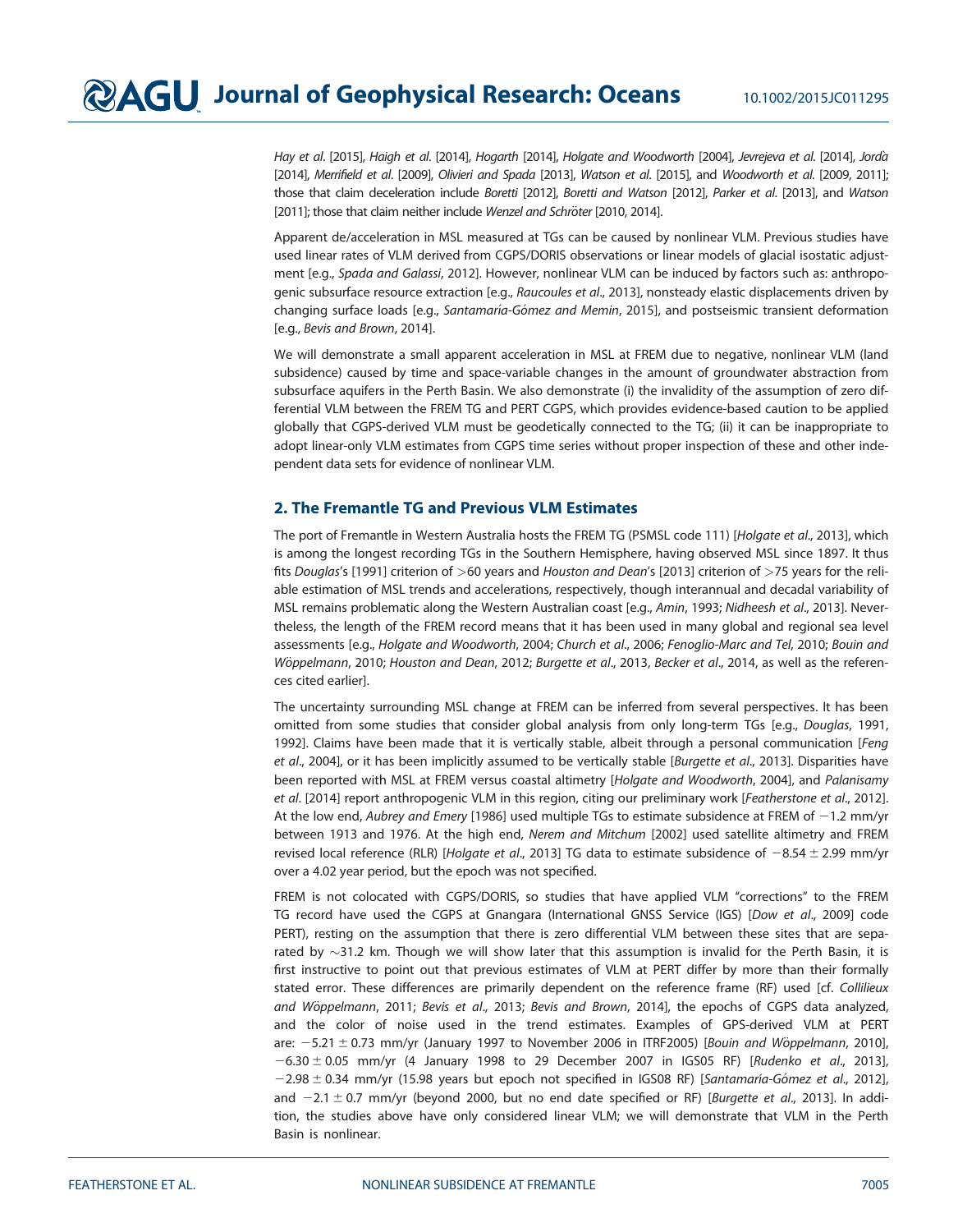Hay et al. [2015], Haigh et al. [2014], Hogarth [2014], Holgate and Woodworth [2004], Jevrejeva et al. [2014], Jorda [2014], Merrifield et al. [2009], Olivieri and Spada [2013], Watson et al. [2015], and Woodworth et al. [2009, 2011]; those that claim deceleration include Boretti [2012], Boretti and Watson [2012], Parker et al. [2013], and Watson [2011]; those that claim neither include Wenzel and Schröter [2010, 2014].

Apparent de/acceleration in MSL measured at TGs can be caused by nonlinear VLM. Previous studies have used linear rates of VLM derived from CGPS/DORIS observations or linear models of glacial isostatic adjustment [e.g., Spada and Galassi, 2012]. However, nonlinear VLM can be induced by factors such as: anthropogenic subsurface resource extraction [e.g., Raucoules et al., 2013], nonsteady elastic displacements driven by changing surface loads [e.g., Santamaría-Gómez and Memin, 2015], and postseismic transient deformation [e.g., Bevis and Brown, 2014].

We will demonstrate a small apparent acceleration in MSL at FREM due to negative, nonlinear VLM (land subsidence) caused by time and space-variable changes in the amount of groundwater abstraction from subsurface aquifers in the Perth Basin. We also demonstrate (i) the invalidity of the assumption of zero differential VLM between the FREM TG and PERT CGPS, which provides evidence-based caution to be applied globally that CGPS-derived VLM must be geodetically connected to the TG; (ii) it can be inappropriate to adopt linear-only VLM estimates from CGPS time series without proper inspection of these and other independent data sets for evidence of nonlinear VLM.

## 2. The Fremantle TG and Previous VLM Estimates

The port of Fremantle in Western Australia hosts the FREM TG (PSMSL code 111) [Holgate et al., 2013], which is among the longest recording TGs in the Southern Hemisphere, having observed MSL since 1897. It thus fits Douglas's [1991] criterion of >60 years and Houston and Dean's [2013] criterion of >75 years for the reliable estimation of MSL trends and accelerations, respectively, though interannual and decadal variability of MSL remains problematic along the Western Australian coast [e.g., Amin, 1993; Nidheesh et al., 2013]. Nevertheless, the length of the FREM record means that it has been used in many global and regional sea level assessments [e.g., Holgate and Woodworth, 2004; Church et al., 2006; Fenoglio-Marc and Tel, 2010; Bouin and Wöppelmann, 2010; Houston and Dean, 2012; Burgette et al., 2013, Becker et al., 2014, as well as the references cited earlier].

The uncertainty surrounding MSL change at FREM can be inferred from several perspectives. It has been omitted from some studies that consider global analysis from only long-term TGs [e.g., Douglas, 1991, 1992]. Claims have been made that it is vertically stable, albeit through a personal communication [Feng et al., 2004], or it has been implicitly assumed to be vertically stable [Burgette et al., 2013]. Disparities have been reported with MSL at FREM versus coastal altimetry [Holgate and Woodworth, 2004], and Palanisamy et al. [2014] report anthropogenic VLM in this region, citing our preliminary work [Featherstone et al., 2012]. At the low end, Aubrey and Emery [1986] used multiple TGs to estimate subsidence at FREM of  $-1.2$  mm/yr between 1913 and 1976. At the high end, Nerem and Mitchum [2002] used satellite altimetry and FREM revised local reference (RLR) [Holgate et al., 2013] TG data to estimate subsidence of  $-8.54 \pm 2.99$  mm/yr over a 4.02 year period, but the epoch was not specified.

FREM is not colocated with CGPS/DORIS, so studies that have applied VLM "corrections" to the FREM TG record have used the CGPS at Gnangara (International GNSS Service (IGS) [Dow et al., 2009] code PERT), resting on the assumption that there is zero differential VLM between these sites that are separated by  $\sim$ 31.2 km. Though we will show later that this assumption is invalid for the Perth Basin, it is first instructive to point out that previous estimates of VLM at PERT differ by more than their formally stated error. These differences are primarily dependent on the reference frame (RF) used [cf. Collilieux and Wöppelmann, 2011; Bevis et al., 2013; Bevis and Brown, 2014], the epochs of CGPS data analyzed, and the color of noise used in the trend estimates. Examples of GPS-derived VLM at PERT are:  $-5.21 \pm 0.73$  mm/yr (January 1997 to November 2006 in ITRF2005) [Bouin and Wöppelmann, 2010],  $-6.30 \pm 0.05$  mm/yr (4 January 1998 to 29 December 2007 in IGS05 RF) [Rudenko et al., 2013],  $-2.98 \pm 0.34$  mm/yr (15.98 years but epoch not specified in IGS08 RF) [Santamaría-Gómez et al., 2012], and  $-2.1 \pm 0.7$  mm/yr (beyond 2000, but no end date specified or RF) [Burgette et al., 2013]. In addition, the studies above have only considered linear VLM; we will demonstrate that VLM in the Perth Basin is nonlinear.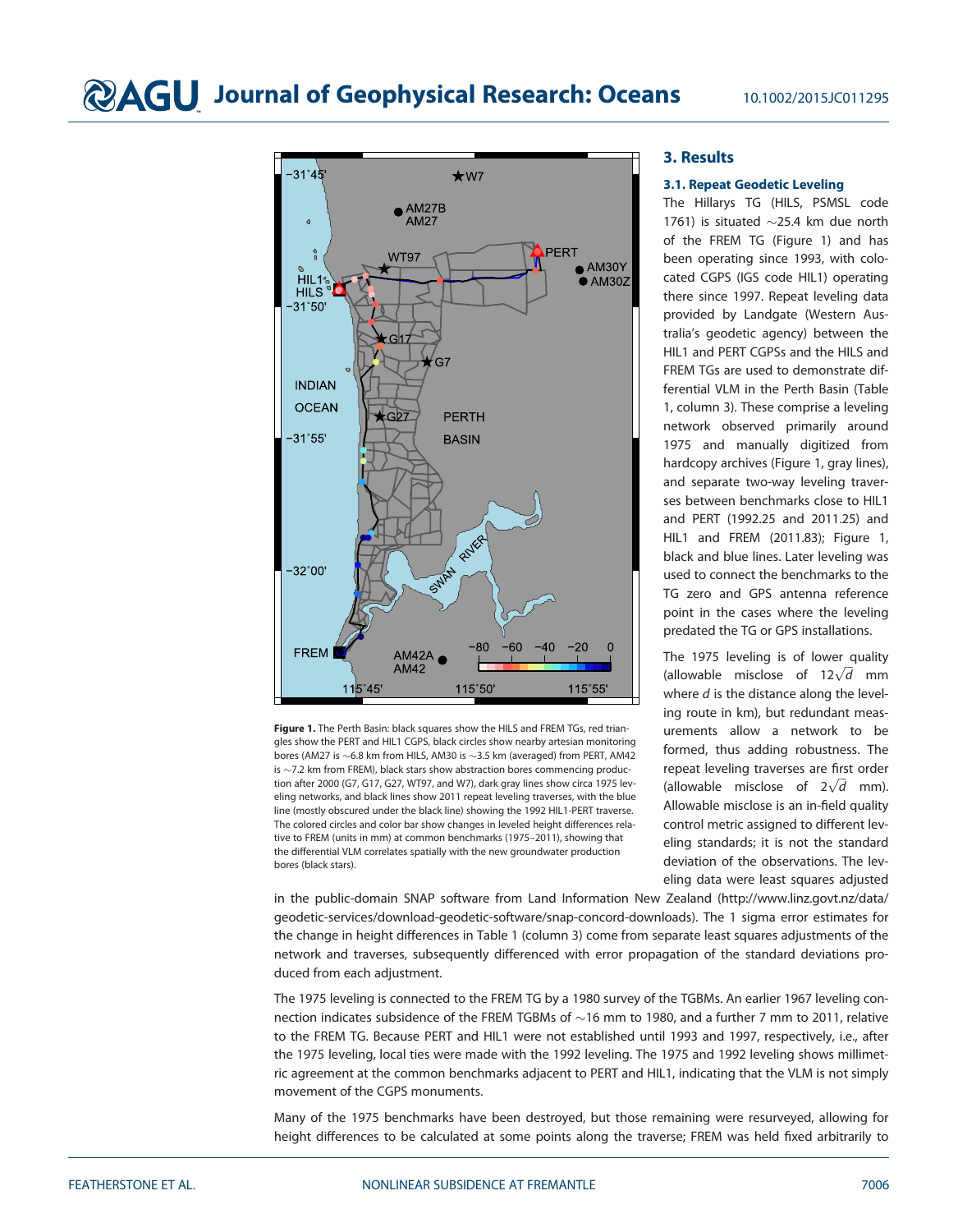

Figure 1. The Perth Basin: black squares show the HILS and FREM TGs, red triangles show the PERT and HIL1 CGPS, black circles show nearby artesian monitoring bores (AM27 is  $\sim$  6.8 km from HILS, AM30 is  $\sim$  3.5 km (averaged) from PERT, AM42 is  $\sim$  7.2 km from FREM), black stars show abstraction bores commencing production after 2000 (G7, G17, G27, WT97, and W7), dark gray lines show circa 1975 leveling networks, and black lines show 2011 repeat leveling traverses, with the blue line (mostly obscured under the black line) showing the 1992 HIL1-PERT traverse. The colored circles and color bar show changes in leveled height differences relative to FREM (units in mm) at common benchmarks (1975–2011), showing that the differential VLM correlates spatially with the new groundwater production bores (black stars).

## 3. Results

## 3.1. Repeat Geodetic Leveling

The Hillarys TG (HILS, PSMSL code 1761) is situated  $\sim$ 25.4 km due north of the FREM TG (Figure 1) and has been operating since 1993, with colocated CGPS (IGS code HIL1) operating there since 1997. Repeat leveling data provided by Landgate (Western Australia's geodetic agency) between the HIL1 and PERT CGPSs and the HILS and FREM TGs are used to demonstrate differential VLM in the Perth Basin (Table 1, column 3). These comprise a leveling network observed primarily around 1975 and manually digitized from hardcopy archives (Figure 1, gray lines), and separate two-way leveling traverses between benchmarks close to HIL1 and PERT (1992.25 and 2011.25) and HIL1 and FREM (2011.83); Figure 1, black and blue lines. Later leveling was used to connect the benchmarks to the TG zero and GPS antenna reference point in the cases where the leveling predated the TG or GPS installations.

The 1975 leveling is of lower quality The 1975 leveling is of lower quality<br>(allowable misclose of  $12\sqrt{d}$  mm where  $d$  is the distance along the leveling route in km), but redundant measurements allow a network to be formed, thus adding robustness. The repeat leveling traverses are first order repeat leveling traverses are mst order<br>(allowable misclose of  $2\sqrt{d}$  mm). Allowable misclose is an in-field quality control metric assigned to different leveling standards; it is not the standard deviation of the observations. The leveling data were least squares adjusted

in the public-domain SNAP software from Land Information New Zealand ([http://www.linz.govt.nz/data/](http://www.linz.govt.nz/data/geodetic-services/download-geodetic-software/snap-concord-downloads) [geodetic-services/download-geodetic-software/snap-concord-downloads\)](http://www.linz.govt.nz/data/geodetic-services/download-geodetic-software/snap-concord-downloads). The 1 sigma error estimates for the change in height differences in Table 1 (column 3) come from separate least squares adjustments of the network and traverses, subsequently differenced with error propagation of the standard deviations produced from each adjustment.

The 1975 leveling is connected to the FREM TG by a 1980 survey of the TGBMs. An earlier 1967 leveling connection indicates subsidence of the FREM TGBMs of  $\sim$  16 mm to 1980, and a further 7 mm to 2011, relative to the FREM TG. Because PERT and HIL1 were not established until 1993 and 1997, respectively, i.e., after the 1975 leveling, local ties were made with the 1992 leveling. The 1975 and 1992 leveling shows millimetric agreement at the common benchmarks adjacent to PERT and HIL1, indicating that the VLM is not simply movement of the CGPS monuments.

Many of the 1975 benchmarks have been destroyed, but those remaining were resurveyed, allowing for height differences to be calculated at some points along the traverse; FREM was held fixed arbitrarily to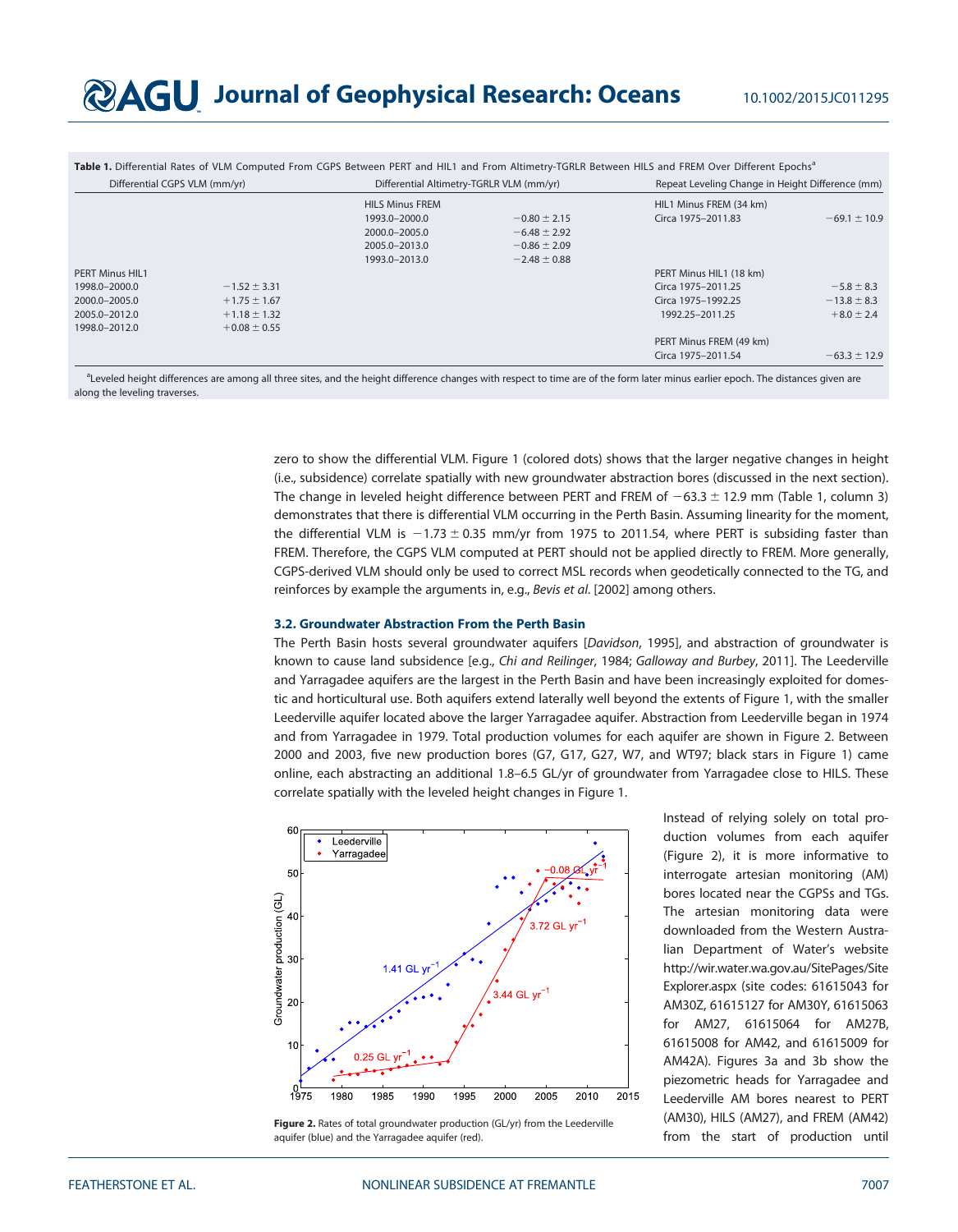|                               |                  |                                          |                  | Table 1. Differential Rates of VLM Computed From CGPS Between PERT and HIL1 and From Altimetry-TGRLR Between HILS and FREM Over Different Epochs <sup>a</sup> |                  |
|-------------------------------|------------------|------------------------------------------|------------------|---------------------------------------------------------------------------------------------------------------------------------------------------------------|------------------|
| Differential CGPS VLM (mm/yr) |                  | Differential Altimetry-TGRLR VLM (mm/yr) |                  | Repeat Leveling Change in Height Difference (mm)                                                                                                              |                  |
|                               |                  | <b>HILS Minus FREM</b>                   |                  | HIL1 Minus FREM (34 km)                                                                                                                                       |                  |
|                               |                  | 1993.0-2000.0                            | $-0.80 \pm 2.15$ | Circa 1975-2011.83                                                                                                                                            | $-69.1 \pm 10.9$ |
|                               |                  | 2000.0-2005.0                            | $-6.48 \pm 2.92$ |                                                                                                                                                               |                  |
|                               |                  | 2005.0-2013.0                            | $-0.86 \pm 2.09$ |                                                                                                                                                               |                  |
|                               |                  | 1993.0-2013.0                            | $-2.48 \pm 0.88$ |                                                                                                                                                               |                  |
| <b>PERT Minus HIL1</b>        |                  |                                          |                  | PERT Minus HIL1 (18 km)                                                                                                                                       |                  |
| 1998.0-2000.0                 | $-1.52 \pm 3.31$ |                                          |                  | Circa 1975-2011.25                                                                                                                                            | $-5.8 \pm 8.3$   |
| 2000.0-2005.0                 | $+1.75 \pm 1.67$ |                                          |                  | Circa 1975-1992.25                                                                                                                                            | $-13.8 \pm 8.3$  |
| 2005.0-2012.0                 | $+1.18 \pm 1.32$ |                                          |                  | 1992.25-2011.25                                                                                                                                               | $+8.0 \pm 2.4$   |
| 1998.0-2012.0                 | $+0.08 \pm 0.55$ |                                          |                  |                                                                                                                                                               |                  |
|                               |                  |                                          |                  | PERT Minus FREM (49 km)                                                                                                                                       |                  |
|                               |                  |                                          |                  | Circa 1975-2011.54                                                                                                                                            | $-63.3 \pm 12.9$ |

aLeveled height differences are among all three sites, and the height difference changes with respect to time are of the form later minus earlier epoch. The distances given are along the leveling traverses.

> zero to show the differential VLM. Figure 1 (colored dots) shows that the larger negative changes in height (i.e., subsidence) correlate spatially with new groundwater abstraction bores (discussed in the next section). The change in leveled height difference between PERT and FREM of  $-63.3 \pm 12.9$  mm (Table 1, column 3) demonstrates that there is differential VLM occurring in the Perth Basin. Assuming linearity for the moment, the differential VLM is  $-1.73 \pm 0.35$  mm/yr from 1975 to 2011.54, where PERT is subsiding faster than FREM. Therefore, the CGPS VLM computed at PERT should not be applied directly to FREM. More generally, CGPS-derived VLM should only be used to correct MSL records when geodetically connected to the TG, and reinforces by example the arguments in, e.g., Bevis et al. [2002] among others.

#### 3.2. Groundwater Abstraction From the Perth Basin

The Perth Basin hosts several groundwater aquifers [Davidson, 1995], and abstraction of groundwater is known to cause land subsidence [e.g., Chi and Reilinger, 1984; Galloway and Burbey, 2011]. The Leederville and Yarragadee aquifers are the largest in the Perth Basin and have been increasingly exploited for domestic and horticultural use. Both aquifers extend laterally well beyond the extents of Figure 1, with the smaller Leederville aquifer located above the larger Yarragadee aquifer. Abstraction from Leederville began in 1974 and from Yarragadee in 1979. Total production volumes for each aquifer are shown in Figure 2. Between 2000 and 2003, five new production bores (G7, G17, G27, W7, and WT97; black stars in Figure 1) came online, each abstracting an additional 1.8–6.5 GL/yr of groundwater from Yarragadee close to HILS. These correlate spatially with the leveled height changes in Figure 1.



Figure 2. Rates of total groundwater production (GL/yr) from the Leederville aquifer (blue) and the Yarragadee aquifer (red).

Instead of relying solely on total production volumes from each aquifer (Figure 2), it is more informative to interrogate artesian monitoring (AM) bores located near the CGPSs and TGs. The artesian monitoring data were downloaded from the Western Australian Department of Water's website [http://wir.water.wa.gov.au/SitePages/Site](http://wir.water.wa.gov.au/SitePages/SiteExplorer.aspx) [Explorer.aspx](http://wir.water.wa.gov.au/SitePages/SiteExplorer.aspx) (site codes: 61615043 for AM30Z, 61615127 for AM30Y, 61615063 for AM27, 61615064 for AM27B, 61615008 for AM42, and 61615009 for AM42A). Figures 3a and 3b show the piezometric heads for Yarragadee and Leederville AM bores nearest to PERT (AM30), HILS (AM27), and FREM (AM42) from the start of production until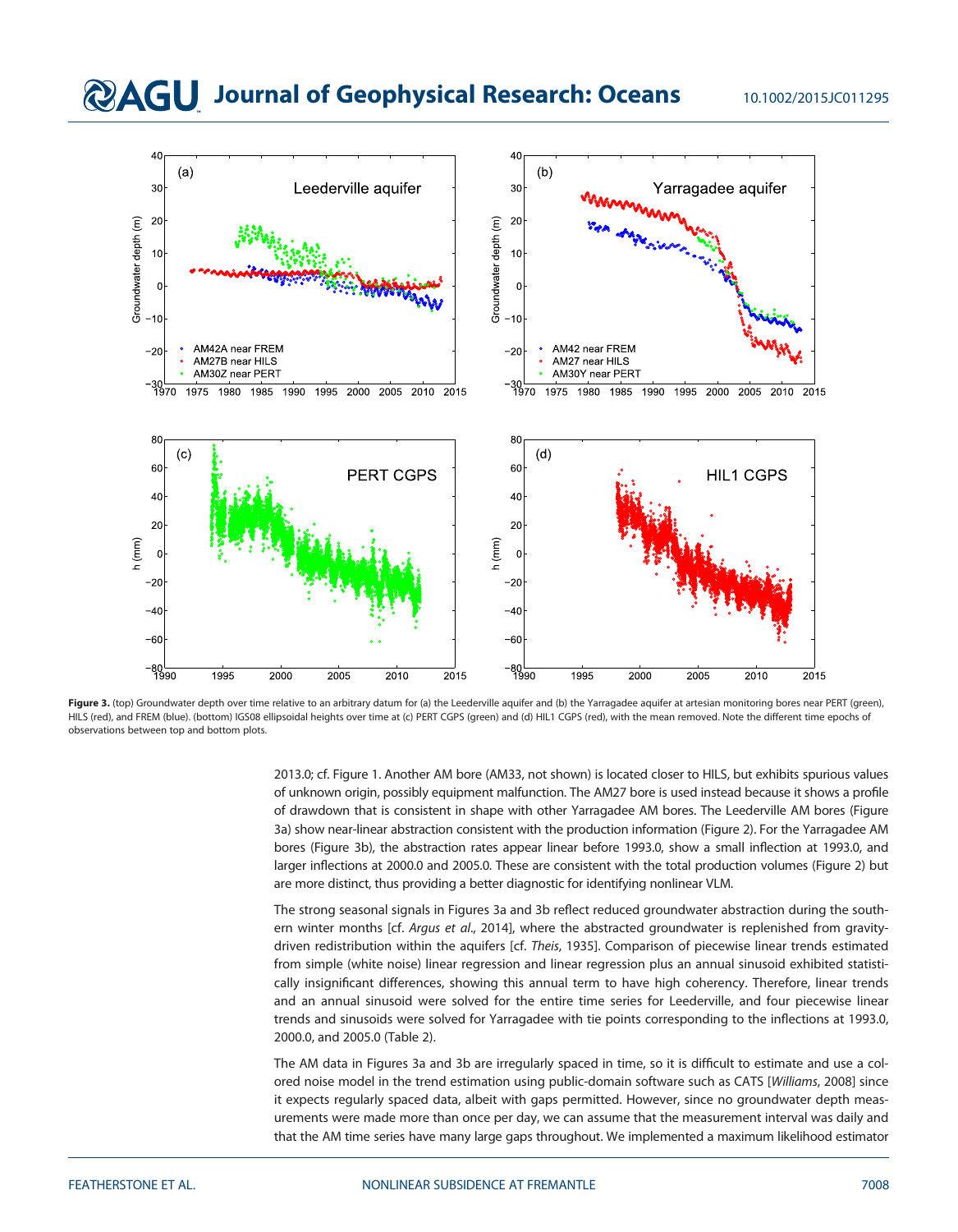# **@AGU** Journal of Geophysical Research: Oceans 10.1002/2015JC011295



Figure 3. (top) Groundwater depth over time relative to an arbitrary datum for (a) the Leederville aquifer and (b) the Yarragadee aquifer at artesian monitoring bores near PERT (green), HILS (red), and FREM (blue). (bottom) IGS08 ellipsoidal heights over time at (c) PERT CGPS (green) and (d) HIL1 CGPS (red), with the mean removed. Note the different time epochs of observations between top and bottom plots.

2013.0; cf. Figure 1. Another AM bore (AM33, not shown) is located closer to HILS, but exhibits spurious values of unknown origin, possibly equipment malfunction. The AM27 bore is used instead because it shows a profile of drawdown that is consistent in shape with other Yarragadee AM bores. The Leederville AM bores (Figure 3a) show near-linear abstraction consistent with the production information (Figure 2). For the Yarragadee AM bores (Figure 3b), the abstraction rates appear linear before 1993.0, show a small inflection at 1993.0, and larger inflections at 2000.0 and 2005.0. These are consistent with the total production volumes (Figure 2) but are more distinct, thus providing a better diagnostic for identifying nonlinear VLM.

The strong seasonal signals in Figures 3a and 3b reflect reduced groundwater abstraction during the southern winter months [cf. Argus et al., 2014], where the abstracted groundwater is replenished from gravitydriven redistribution within the aquifers [cf. Theis, 1935]. Comparison of piecewise linear trends estimated from simple (white noise) linear regression and linear regression plus an annual sinusoid exhibited statistically insignificant differences, showing this annual term to have high coherency. Therefore, linear trends and an annual sinusoid were solved for the entire time series for Leederville, and four piecewise linear trends and sinusoids were solved for Yarragadee with tie points corresponding to the inflections at 1993.0, 2000.0, and 2005.0 (Table 2).

The AM data in Figures 3a and 3b are irregularly spaced in time, so it is difficult to estimate and use a colored noise model in the trend estimation using public-domain software such as CATS [Williams, 2008] since it expects regularly spaced data, albeit with gaps permitted. However, since no groundwater depth measurements were made more than once per day, we can assume that the measurement interval was daily and that the AM time series have many large gaps throughout. We implemented a maximum likelihood estimator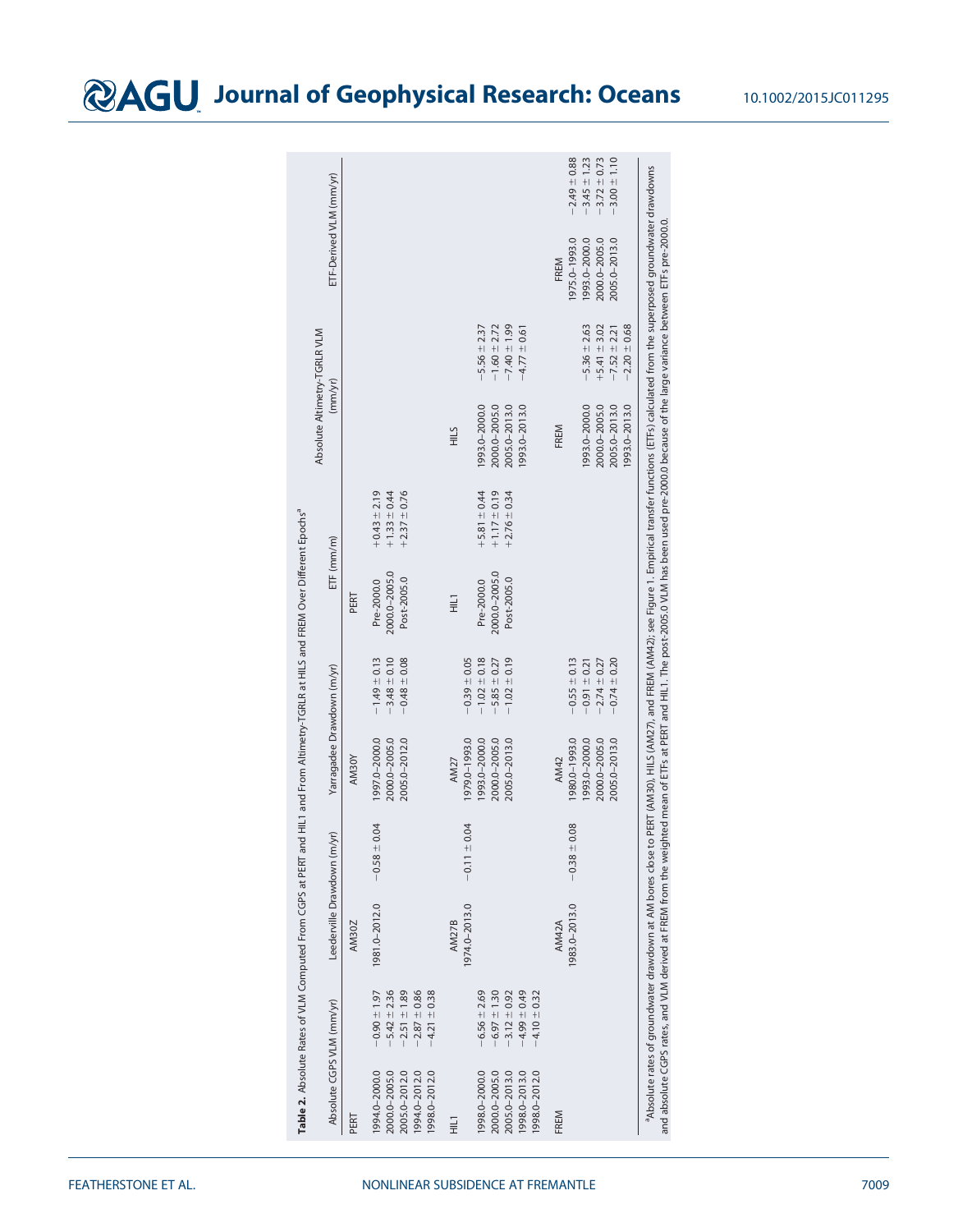|                                                                                  |                                                                                                  | Table 2. Absolute Rates of VLM Computed From CGPS at PERT and |                  | HIL1 and From Altimetry-TGRLR at HILS and FREM Over Different Epochs <sup>a</sup> |                                                                              |                                            |                                                          |                                                                         |                                                                              |                                                                          |                                                                              |
|----------------------------------------------------------------------------------|--------------------------------------------------------------------------------------------------|---------------------------------------------------------------|------------------|-----------------------------------------------------------------------------------|------------------------------------------------------------------------------|--------------------------------------------|----------------------------------------------------------|-------------------------------------------------------------------------|------------------------------------------------------------------------------|--------------------------------------------------------------------------|------------------------------------------------------------------------------|
| Absolute CGPS VLM (mm/yr)                                                        |                                                                                                  | Leederville Drawdown (m/yr)                                   |                  | Yarragadee Drawdown (m/yr)                                                        |                                                                              | $ETF$ (mm/m)                               |                                                          | Absolute Altimetry-TGRLR VLM<br>(mm/yr)                                 |                                                                              | ETF-Derived VLM (mm/yr)                                                  |                                                                              |
| PERT                                                                             |                                                                                                  | <b>AM30Z</b>                                                  |                  | AM30Y                                                                             |                                                                              | PERT                                       |                                                          |                                                                         |                                                                              |                                                                          |                                                                              |
| 994.0-2000.0<br>2000.0-2005.0<br>2005.0-2012.0<br>1994.0-2012.0<br>1998.0-2012.0 | $-5.42 \pm 2.36$<br>$-2.51 \pm 1.89$<br>$-2.87 \pm 0.86$<br>$-0.90 \pm 1.97$<br>$-4.21 \pm 0.38$ | 1981.0-2012.0                                                 | $-0.58 \pm 0.04$ | 1997.0-2000.0<br>2000.0-2005.0<br>2005.0-2012.0                                   | $-1.49 \pm 0.13$<br>$-3.48 \pm 0.10$<br>$-0.48 \pm 0.08$                     | 2000.0-2005.0<br>Post-2005.0<br>Pre-2000.0 | $+0.43 \pm 2.19$<br>$+1.33 \pm 0.44$<br>$+2.37 \pm 0.76$ |                                                                         |                                                                              |                                                                          |                                                                              |
| 1<br>도                                                                           |                                                                                                  | 1974.0-2013.0<br><b>AM27B</b>                                 | $-0.11 \pm 0.04$ | 1979.0-1993.0<br>AM27                                                             | $-0.39 \pm 0.05$                                                             | Ξ                                          |                                                          | <b>HILS</b>                                                             |                                                                              |                                                                          |                                                                              |
| 998.0-2000.0<br>2000.0-2005.0<br>2005.0-2013.0<br>1998.0-2013.0<br>998.0-2012.0  | $-6.56 \pm 2.69$<br>$-4.99 \pm 0.49$<br>$-6.97 \pm 1.30$<br>$-3.12 \pm 0.92$<br>$-4.10 \pm 0.32$ |                                                               |                  | 993.0-2000.0<br>2000.0-2005.0<br>2005.0-2013.0                                    | $-1.02 \pm 0.18$<br>$-1.02 \pm 0.19$<br>$-5.85 \pm 0.27$                     | 2000.0-2005.0<br>Post-2005.0<br>Pre-2000.0 | $+1.17 \pm 0.19$<br>$+5.81 \pm 0.44$<br>$+2.76 \pm 0.34$ | 993.0-2000.0<br>2000.0-2005.0<br>2005.0-2013.0<br>1993.0-2013.0         | $-7.40 \pm 1.99$<br>$-1.60 \pm 2.72$<br>$-5.56 \pm 2.37$<br>$-4.77 \pm 0.61$ |                                                                          |                                                                              |
| FREM                                                                             |                                                                                                  | 1983.0-2013.0<br>AM42A                                        | $-0.38 \pm 0.08$ | 1980.0-1993.0<br>993.0-2000.0<br>2000.0-2005.0<br>2005.0-2013.0<br>AM42           | $-0.55 \pm 0.13$<br>$-2.74 \pm 0.27$<br>$-0.74 \pm 0.20$<br>$-0.91 \pm 0.21$ |                                            |                                                          | 993.0-2000.0<br>2000.0-2005.0<br>2005.0-2013.0<br>1993.0-2013.0<br>FREM | $-2.20 \pm 0.68$<br>$-5.36 \pm 2.63$<br>$+5.41 \pm 3.02$<br>$-7.52 \pm 2.21$ | 1975.0-1993.0<br>1993.0-2000.0<br>2005.0-2013.0<br>2000.0-2005.0<br>FREM | $-2.49 \pm 0.88$<br>$-3.45 \pm 1.23$<br>$-3.72 \pm 0.73$<br>$-3.00 \pm 1.10$ |

aAbsolute rates of groundwater drawdown at AM bores close to PERT (AM30), HILS (AM27), and FREM (AM42); see Figure 1. Empirical transfer functions (ETFs) calculated from the superposed groundwater drawdowns

°Absolute rates of groundwater drawdown at AM bores close to PERT (AM32)), HILS (AM27), and FREM (AM42); see Figure 1. Empirical transfer functions (ETFs) calculated from the superposed groundwater drawdowns<br>and absolute

and absolute CGPS rates, and VLM derived at FREM from the weighted mean of ETFs at PERT and HIL1. The post-2005.0 VLM has been used pre-2000.0 because of the large variance between ETFs pre-2000.0.

# **@AGU** Journal of Geophysical Research: Oceans 10.1002/2015JC011295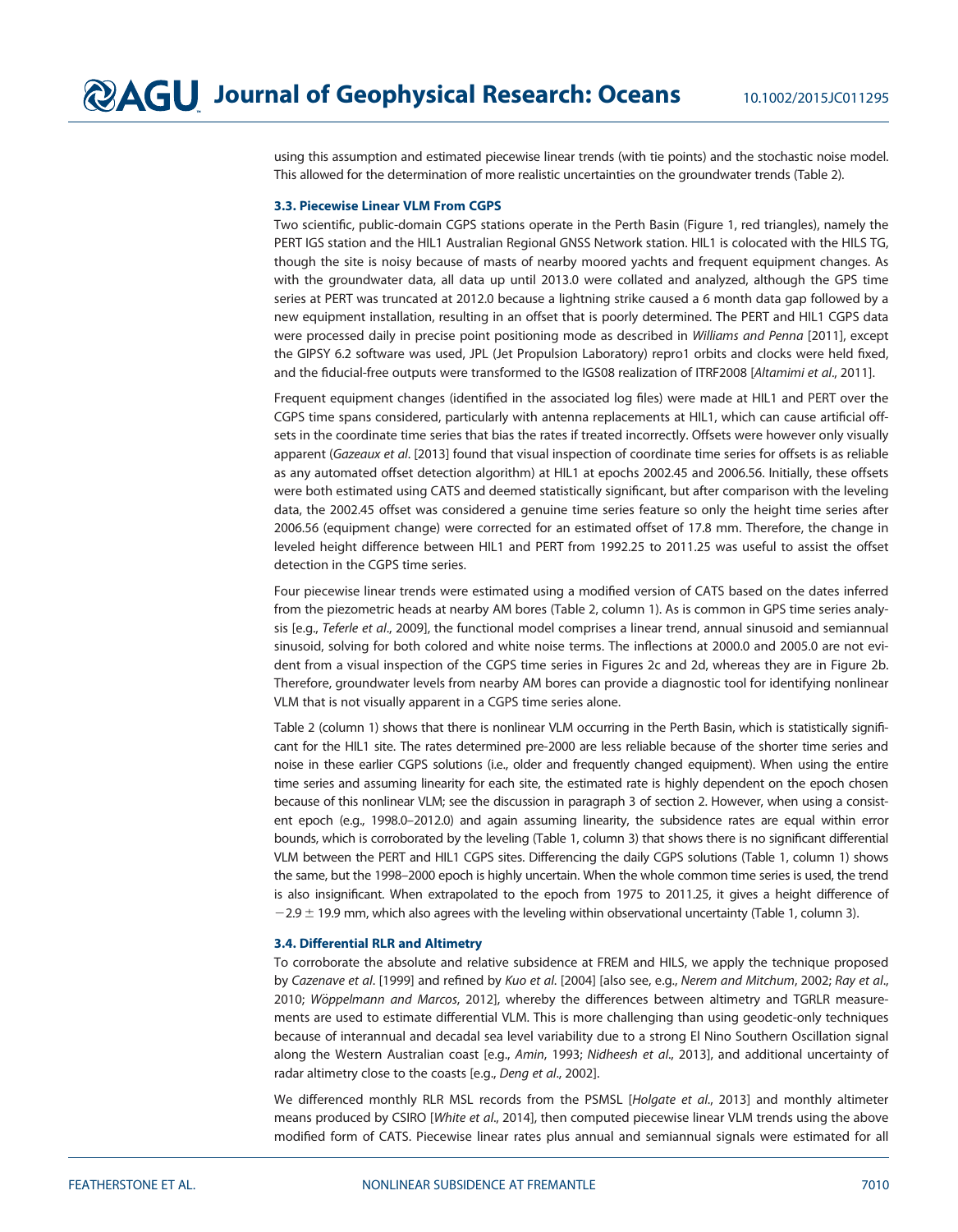using this assumption and estimated piecewise linear trends (with tie points) and the stochastic noise model. This allowed for the determination of more realistic uncertainties on the groundwater trends (Table 2).

#### 3.3. Piecewise Linear VLM From CGPS

Two scientific, public-domain CGPS stations operate in the Perth Basin (Figure 1, red triangles), namely the PERT IGS station and the HIL1 Australian Regional GNSS Network station. HIL1 is colocated with the HILS TG, though the site is noisy because of masts of nearby moored yachts and frequent equipment changes. As with the groundwater data, all data up until 2013.0 were collated and analyzed, although the GPS time series at PERT was truncated at 2012.0 because a lightning strike caused a 6 month data gap followed by a new equipment installation, resulting in an offset that is poorly determined. The PERT and HIL1 CGPS data were processed daily in precise point positioning mode as described in Williams and Penna [2011], except the GIPSY 6.2 software was used, JPL (Jet Propulsion Laboratory) repro1 orbits and clocks were held fixed, and the fiducial-free outputs were transformed to the IGS08 realization of ITRF2008 [Altamimi et al., 2011].

Frequent equipment changes (identified in the associated log files) were made at HIL1 and PERT over the CGPS time spans considered, particularly with antenna replacements at HIL1, which can cause artificial offsets in the coordinate time series that bias the rates if treated incorrectly. Offsets were however only visually apparent (Gazeaux et al. [2013] found that visual inspection of coordinate time series for offsets is as reliable as any automated offset detection algorithm) at HIL1 at epochs 2002.45 and 2006.56. Initially, these offsets were both estimated using CATS and deemed statistically significant, but after comparison with the leveling data, the 2002.45 offset was considered a genuine time series feature so only the height time series after 2006.56 (equipment change) were corrected for an estimated offset of 17.8 mm. Therefore, the change in leveled height difference between HIL1 and PERT from 1992.25 to 2011.25 was useful to assist the offset detection in the CGPS time series.

Four piecewise linear trends were estimated using a modified version of CATS based on the dates inferred from the piezometric heads at nearby AM bores (Table 2, column 1). As is common in GPS time series analysis [e.g., Teferle et al., 2009], the functional model comprises a linear trend, annual sinusoid and semiannual sinusoid, solving for both colored and white noise terms. The inflections at 2000.0 and 2005.0 are not evident from a visual inspection of the CGPS time series in Figures 2c and 2d, whereas they are in Figure 2b. Therefore, groundwater levels from nearby AM bores can provide a diagnostic tool for identifying nonlinear VLM that is not visually apparent in a CGPS time series alone.

Table 2 (column 1) shows that there is nonlinear VLM occurring in the Perth Basin, which is statistically significant for the HIL1 site. The rates determined pre-2000 are less reliable because of the shorter time series and noise in these earlier CGPS solutions (i.e., older and frequently changed equipment). When using the entire time series and assuming linearity for each site, the estimated rate is highly dependent on the epoch chosen because of this nonlinear VLM; see the discussion in paragraph 3 of section 2. However, when using a consistent epoch (e.g., 1998.0–2012.0) and again assuming linearity, the subsidence rates are equal within error bounds, which is corroborated by the leveling (Table 1, column 3) that shows there is no significant differential VLM between the PERT and HIL1 CGPS sites. Differencing the daily CGPS solutions (Table 1, column 1) shows the same, but the 1998–2000 epoch is highly uncertain. When the whole common time series is used, the trend is also insignificant. When extrapolated to the epoch from 1975 to 2011.25, it gives a height difference of  $-2.9 \pm 19.9$  mm, which also agrees with the leveling within observational uncertainty (Table 1, column 3).

#### 3.4. Differential RLR and Altimetry

To corroborate the absolute and relative subsidence at FREM and HILS, we apply the technique proposed by Cazenave et al. [1999] and refined by Kuo et al. [2004] [also see, e.g., Nerem and Mitchum, 2002; Ray et al., 2010; Wöppelmann and Marcos, 2012], whereby the differences between altimetry and TGRLR measurements are used to estimate differential VLM. This is more challenging than using geodetic-only techniques because of interannual and decadal sea level variability due to a strong El Nino Southern Oscillation signal along the Western Australian coast [e.g., Amin, 1993; Nidheesh et al., 2013], and additional uncertainty of radar altimetry close to the coasts [e.g., Deng et al., 2002].

We differenced monthly RLR MSL records from the PSMSL [Holgate et al., 2013] and monthly altimeter means produced by CSIRO [White et al., 2014], then computed piecewise linear VLM trends using the above modified form of CATS. Piecewise linear rates plus annual and semiannual signals were estimated for all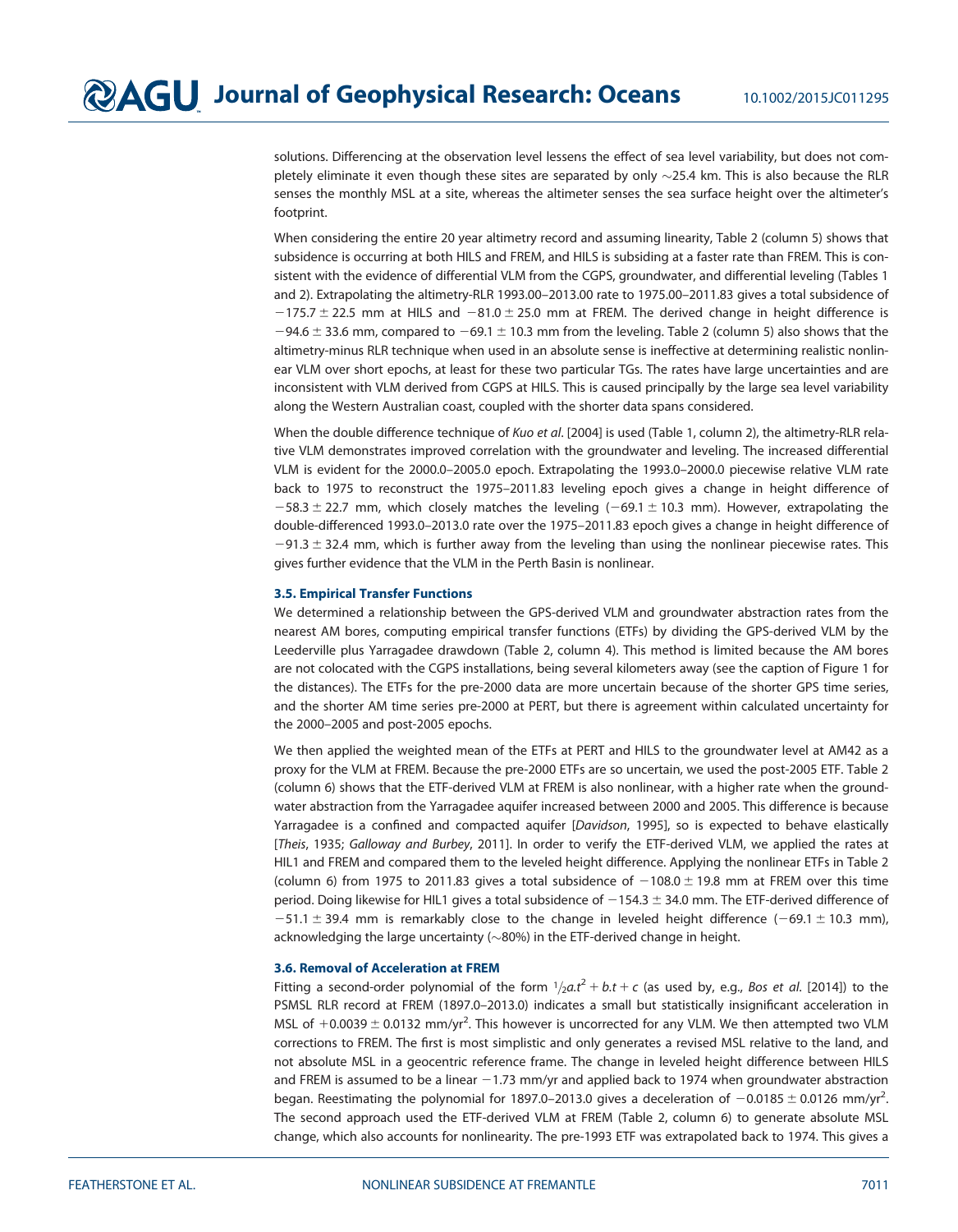solutions. Differencing at the observation level lessens the effect of sea level variability, but does not completely eliminate it even though these sites are separated by only  $\sim$  25.4 km. This is also because the RLR senses the monthly MSL at a site, whereas the altimeter senses the sea surface height over the altimeter's footprint.

When considering the entire 20 year altimetry record and assuming linearity, Table 2 (column 5) shows that subsidence is occurring at both HILS and FREM, and HILS is subsiding at a faster rate than FREM. This is consistent with the evidence of differential VLM from the CGPS, groundwater, and differential leveling (Tables 1 and 2). Extrapolating the altimetry-RLR 1993.00–2013.00 rate to 1975.00–2011.83 gives a total subsidence of  $-175.7 \pm 22.5$  mm at HILS and  $-81.0 \pm 25.0$  mm at FREM. The derived change in height difference is  $-94.6 \pm 33.6$  mm, compared to  $-69.1 \pm 10.3$  mm from the leveling. Table 2 (column 5) also shows that the altimetry-minus RLR technique when used in an absolute sense is ineffective at determining realistic nonlinear VLM over short epochs, at least for these two particular TGs. The rates have large uncertainties and are inconsistent with VLM derived from CGPS at HILS. This is caused principally by the large sea level variability along the Western Australian coast, coupled with the shorter data spans considered.

When the double difference technique of Kuo et al. [2004] is used (Table 1, column 2), the altimetry-RLR relative VLM demonstrates improved correlation with the groundwater and leveling. The increased differential VLM is evident for the 2000.0–2005.0 epoch. Extrapolating the 1993.0–2000.0 piecewise relative VLM rate back to 1975 to reconstruct the 1975–2011.83 leveling epoch gives a change in height difference of  $-58.3 \pm 22.7$  mm, which closely matches the leveling  $(-69.1 \pm 10.3$  mm). However, extrapolating the double-differenced 1993.0–2013.0 rate over the 1975–2011.83 epoch gives a change in height difference of  $-91.3 \pm 32.4$  mm, which is further away from the leveling than using the nonlinear piecewise rates. This gives further evidence that the VLM in the Perth Basin is nonlinear.

#### 3.5. Empirical Transfer Functions

We determined a relationship between the GPS-derived VLM and groundwater abstraction rates from the nearest AM bores, computing empirical transfer functions (ETFs) by dividing the GPS-derived VLM by the Leederville plus Yarragadee drawdown (Table 2, column 4). This method is limited because the AM bores are not colocated with the CGPS installations, being several kilometers away (see the caption of Figure 1 for the distances). The ETFs for the pre-2000 data are more uncertain because of the shorter GPS time series, and the shorter AM time series pre-2000 at PERT, but there is agreement within calculated uncertainty for the 2000–2005 and post-2005 epochs.

We then applied the weighted mean of the ETFs at PERT and HILS to the groundwater level at AM42 as a proxy for the VLM at FREM. Because the pre-2000 ETFs are so uncertain, we used the post-2005 ETF. Table 2 (column 6) shows that the ETF-derived VLM at FREM is also nonlinear, with a higher rate when the groundwater abstraction from the Yarragadee aquifer increased between 2000 and 2005. This difference is because Yarragadee is a confined and compacted aquifer [Davidson, 1995], so is expected to behave elastically [Theis, 1935; Galloway and Burbey, 2011]. In order to verify the ETF-derived VLM, we applied the rates at HIL1 and FREM and compared them to the leveled height difference. Applying the nonlinear ETFs in Table 2 (column 6) from 1975 to 2011.83 gives a total subsidence of  $-108.0 \pm 19.8$  mm at FREM over this time period. Doing likewise for HIL1 gives a total subsidence of  $-154.3 \pm 34.0$  mm. The ETF-derived difference of  $-51.1 \pm 39.4$  mm is remarkably close to the change in leveled height difference (-69.1  $\pm$  10.3 mm), acknowledging the large uncertainty ( $\sim$ 80%) in the ETF-derived change in height.

#### 3.6. Removal of Acceleration at FREM

Fitting a second-order polynomial of the form  $1/2a.t^2 + b.t + c$  (as used by, e.g., Bos et al. [2014]) to the PSMSL RLR record at FREM (1897.0–2013.0) indicates a small but statistically insignificant acceleration in MSL of  $+0.0039 \pm 0.0132$  mm/yr<sup>2</sup>. This however is uncorrected for any VLM. We then attempted two VLM corrections to FREM. The first is most simplistic and only generates a revised MSL relative to the land, and not absolute MSL in a geocentric reference frame. The change in leveled height difference between HILS and FREM is assumed to be a linear  $-1.73$  mm/yr and applied back to 1974 when groundwater abstraction began. Reestimating the polynomial for 1897.0–2013.0 gives a deceleration of  $-0.0185 \pm 0.0126$  mm/yr<sup>2</sup>. . The second approach used the ETF-derived VLM at FREM (Table 2, column 6) to generate absolute MSL change, which also accounts for nonlinearity. The pre-1993 ETF was extrapolated back to 1974. This gives a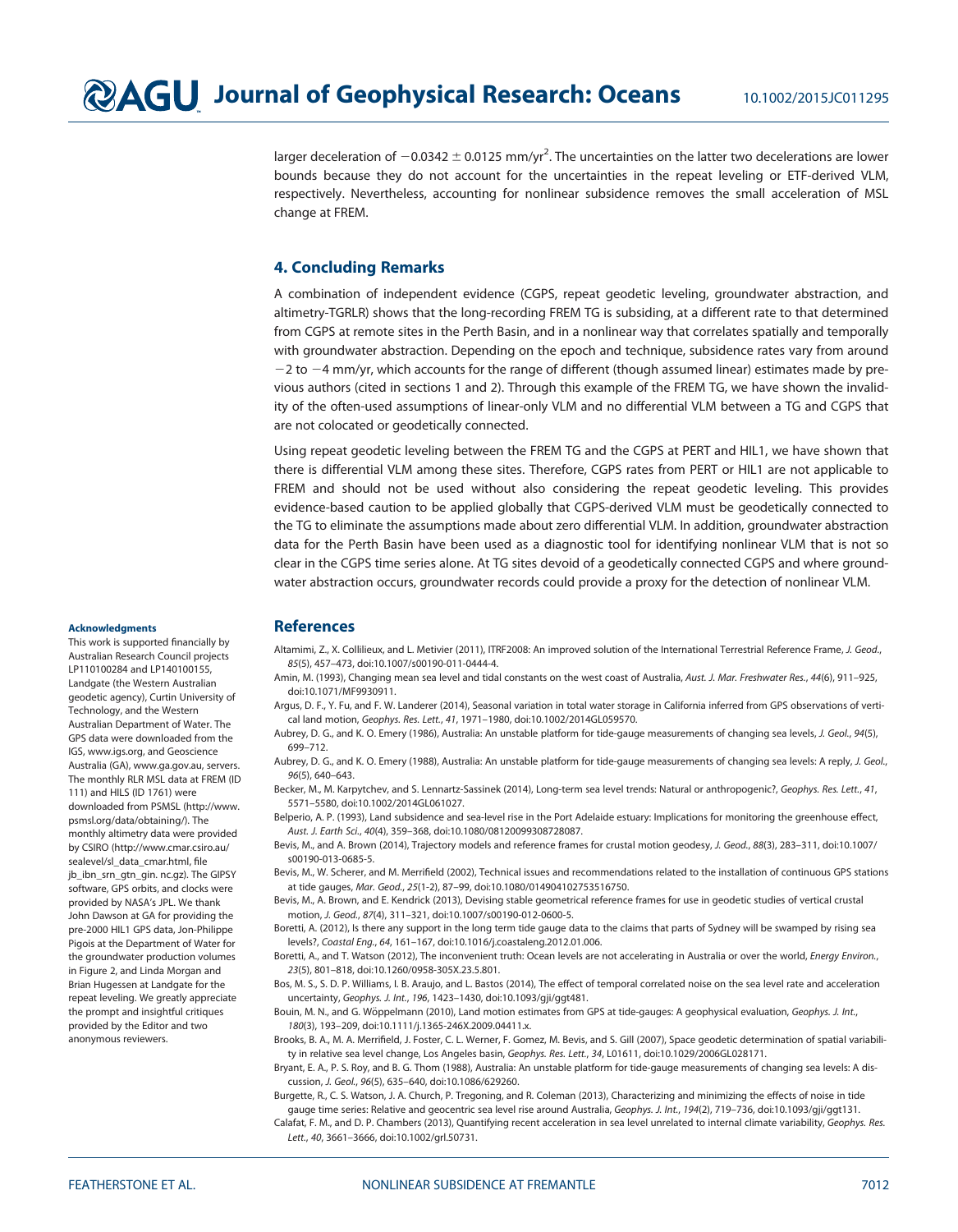larger deceleration of  $-0.0342 \pm 0.0125$  mm/yr<sup>2</sup>. The uncertainties on the latter two decelerations are lower bounds because they do not account for the uncertainties in the repeat leveling or ETF-derived VLM, respectively. Nevertheless, accounting for nonlinear subsidence removes the small acceleration of MSL change at FREM.

## 4. Concluding Remarks

A combination of independent evidence (CGPS, repeat geodetic leveling, groundwater abstraction, and altimetry-TGRLR) shows that the long-recording FREM TG is subsiding, at a different rate to that determined from CGPS at remote sites in the Perth Basin, and in a nonlinear way that correlates spatially and temporally with groundwater abstraction. Depending on the epoch and technique, subsidence rates vary from around  $-2$  to  $-4$  mm/yr, which accounts for the range of different (though assumed linear) estimates made by previous authors (cited in sections 1 and 2). Through this example of the FREM TG, we have shown the invalidity of the often-used assumptions of linear-only VLM and no differential VLM between a TG and CGPS that are not colocated or geodetically connected.

Using repeat geodetic leveling between the FREM TG and the CGPS at PERT and HIL1, we have shown that there is differential VLM among these sites. Therefore, CGPS rates from PERT or HIL1 are not applicable to FREM and should not be used without also considering the repeat geodetic leveling. This provides evidence-based caution to be applied globally that CGPS-derived VLM must be geodetically connected to the TG to eliminate the assumptions made about zero differential VLM. In addition, groundwater abstraction data for the Perth Basin have been used as a diagnostic tool for identifying nonlinear VLM that is not so clear in the CGPS time series alone. At TG sites devoid of a geodetically connected CGPS and where groundwater abstraction occurs, groundwater records could provide a proxy for the detection of nonlinear VLM.

#### Acknowledgments

This work is supported financially by Australian Research Council projects LP110100284 and LP140100155, Landgate (the Western Australian geodetic agency), Curtin University of Technology, and the Western Australian Department of Water. The GPS data were downloaded from the IGS, [www.igs.org,](http://www.igs.org) and Geoscience Australia (GA), [www.ga.gov.au,](http://www.ga.gov.au) servers. The monthly RLR MSL data at FREM (ID 111) and HILS (ID 1761) were downloaded from PSMSL ([http://www.](http://www.psmsl.org/data/obtaining) [psmsl.org/data/obtaining](http://www.psmsl.org/data/obtaining)/). The monthly altimetry data were provided by CSIRO [\(http://www.cmar.csiro.au/](http://www.cmar.csiro.au/sealevel/sl_data_cmar.html) [sealevel/sl\\_data\\_cmar.html](http://www.cmar.csiro.au/sealevel/sl_data_cmar.html), file jb\_ibn\_srn\_gtn\_gin. nc.gz). The GIPSY software, GPS orbits, and clocks were provided by NASA's JPL. We thank John Dawson at GA for providing the pre-2000 HIL1 GPS data, Jon-Philippe Pigois at the Department of Water for the groundwater production volumes in Figure 2, and Linda Morgan and Brian Hugessen at Landgate for the repeat leveling. We greatly appreciate the prompt and insightful critiques provided by the Editor and two anonymous reviewers.

#### **References**

Altamimi, Z., X. Collilieux, and L. Metivier (2011), ITRF2008: An improved solution of the International Terrestrial Reference Frame, J. Geod., 85(5), 457–473, doi:[10.1007/s00190-011-0444-4.](http://dx.doi.org/10.1007/s00190-011-0444-4)

- Amin, M. (1993), Changing mean sea level and tidal constants on the west coast of Australia, Aust. J. Mar. Freshwater Res., 44(6), 911-925, doi[:10.1071/MF9930911](http://dx.doi.org/10.1071/MF9930911).
- Argus, D. F., Y. Fu, and F. W. Landerer (2014), Seasonal variation in total water storage in California inferred from GPS observations of vertical land motion, Geophys. Res. Lett., 41, 1971–1980, doi[:10.1002/2014GL059570.](http://dx.doi.org/10.1002/2014GL059570)
- Aubrey, D. G., and K. O. Emery (1986), Australia: An unstable platform for tide-gauge measurements of changing sea levels, J. Geol., 94(5), 699–712.
- Aubrey, D. G., and K. O. Emery (1988), Australia: An unstable platform for tide-gauge measurements of changing sea levels: A reply, J. Geol., 96(5), 640–643.
- Becker, M., M. Karpytchev, and S. Lennartz-Sassinek (2014), Long-term sea level trends: Natural or anthropogenic?, Geophys. Res. Lett., 41, 5571–5580, doi[:10.1002/2014GL061027](http://dx.doi.org/10.1002/2014GL061027).
- Belperio, A. P. (1993), Land subsidence and sea-level rise in the Port Adelaide estuary: Implications for monitoring the greenhouse effect, Aust. J. Earth Sci., 40(4), 359–368, doi:[10.1080/08120099308728087.](http://dx.doi.org/10.1080/08120099308728087)
- Bevis, M., and A. Brown (2014), Trajectory models and reference frames for crustal motion geodesy, J. Geod., 88(3), 283-311, doi:[10.1007/](http://dx.doi.org/10.1007/s00190-013-0685-5) [s00190-013-0685-5.](http://dx.doi.org/10.1007/s00190-013-0685-5)

Bevis, M., W. Scherer, and M. Merrifield (2002), Technical issues and recommendations related to the installation of continuous GPS stations at tide gauges, Mar. Geod., 25(1-2), 87–99, doi:[10.1080/014904102753516750](http://dx.doi.org/10.1080/014904102753516750).

- Bevis, M., A. Brown, and E. Kendrick (2013), Devising stable geometrical reference frames for use in geodetic studies of vertical crustal motion, J. Geod., 87(4), 311–321, doi[:10.1007/s00190-012-0600-5.](http://dx.doi.org/10.1007/s00190-012-0600-5)
- Boretti, A. (2012), Is there any support in the long term tide gauge data to the claims that parts of Sydney will be swamped by rising sea levels?, Coastal Eng., 64, 161–167, doi:[10.1016/j.coastaleng.2012.01.006.](http://dx.doi.org/10.1016/j.coastaleng.2012.01.006)

Boretti, A., and T. Watson (2012), The inconvenient truth: Ocean levels are not accelerating in Australia or over the world, Energy Environ., 23(5), 801–818, doi:[10.1260/0958-305X.23.5.801.](http://dx.doi.org/10.1260/0958-305X.23.5.801)

Bos, M. S., S. D. P. Williams, I. B. Araujo, and L. Bastos (2014), The effect of temporal correlated noise on the sea level rate and acceleration uncertainty, Geophys. J. Int., 196, 1423–1430, doi[:10.1093/gji/ggt481.](http://dx.doi.org/10.1093/gji/ggt481)

Bouin, M. N., and G. Wöppelmann (2010), Land motion estimates from GPS at tide-gauges: A geophysical evaluation, Geophys. J. Int., 180(3), 193–209, doi[:10.1111/j.1365-246X.2009.04411.x](http://dx.doi.org/10.1111/j.1365-246X.2009.04411.x).

Brooks, B. A., M. A. Merrifield, J. Foster, C. L. Werner, F. Gomez, M. Bevis, and S. Gill (2007), Space geodetic determination of spatial variability in relative sea level change, Los Angeles basin, Geophys. Res. Lett., 34, L01611, doi[:10.1029/2006GL028171.](http://dx.doi.org/10.1029/2006GL028171)

Bryant, E. A., P. S. Roy, and B. G. Thom (1988), Australia: An unstable platform for tide-gauge measurements of changing sea levels: A discussion, J. Geol., 96(5), 635–640, doi:[10.1086/629260](http://dx.doi.org/10.1086/629260).

Burgette, R., C. S. Watson, J. A. Church, P. Tregoning, and R. Coleman (2013), Characterizing and minimizing the effects of noise in tide gauge time series: Relative and geocentric sea level rise around Australia, Geophys. J. Int., 194(2), 719–736, doi:10.1093/gii/ggt131.

Calafat, F. M., and D. P. Chambers (2013), Quantifying recent acceleration in sea level unrelated to internal climate variability, Geophys. Res. Lett., 40, 3661–3666, doi:[10.1002/grl.50731.](http://dx.doi.org/10.1002/grl.50731)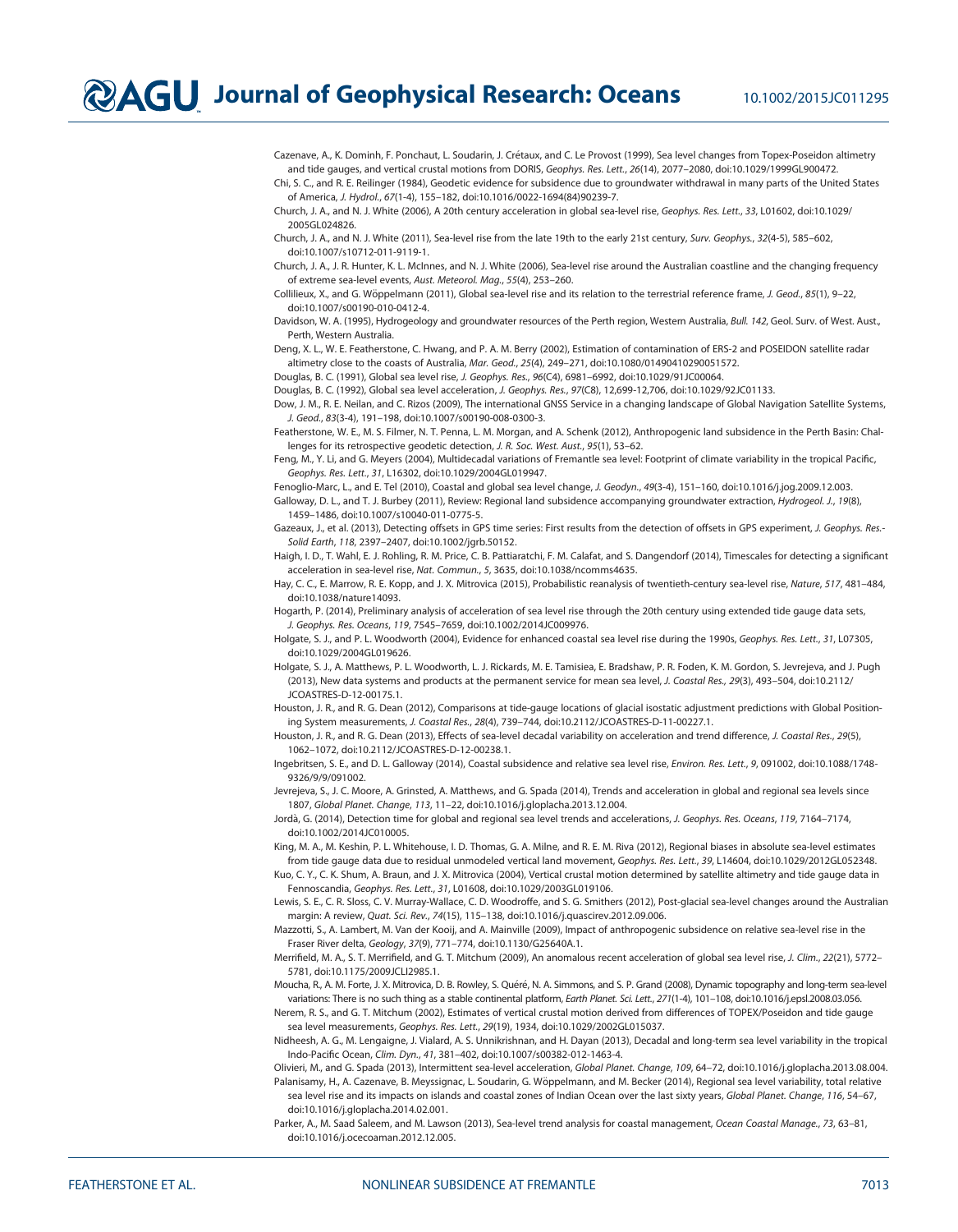Cazenave, A., K. Dominh, F. Ponchaut, L. Soudarin, J. Crétaux, and C. Le Provost (1999), Sea level changes from Topex-Poseidon altimetry and tide gauges, and vertical crustal motions from DORIS, Geophys. Res. Lett., 26(14), 2077–2080, doi[:10.1029/1999GL900472](http://dx.doi.org/10.1029/1999GL900472).

Chi, S. C., and R. E. Reilinger (1984), Geodetic evidence for subsidence due to groundwater withdrawal in many parts of the United States of America, J. Hydrol., 67(1-4), 155–182, doi:[10.1016/0022-1694\(84\)90239-7.](http://dx.doi.org/10.1016/0022-1694(84)90239-7)

Church, J. A., and N. J. White (2006), A 20th century acceleration in global sea-level rise, Geophys. Res. Lett., 33, L01602, doi[:10.1029/](http://dx.doi.org/10.1029/2005GL024826) [2005GL024826.](http://dx.doi.org/10.1029/2005GL024826)

Church, J. A., and N. J. White (2011), Sea-level rise from the late 19th to the early 21st century, Surv. Geophys., 32(4-5), 585–602, doi[:10.1007/s10712-011-9119-1.](http://dx.doi.org/10.1007/s10712-011-9119-1)

Church, J. A., J. R. Hunter, K. L. McInnes, and N. J. White (2006), Sea-level rise around the Australian coastline and the changing frequency of extreme sea-level events, Aust. Meteorol. Mag., 55(4), 253–260.

Collilieux, X., and G. Wöppelmann (2011), Global sea-level rise and its relation to the terrestrial reference frame, J. Geod., 85(1), 9-22, doi[:10.1007/s00190-010-0412-4.](http://dx.doi.org/10.1007/s00190-010-0412-4)

Davidson, W. A. (1995), Hydrogeology and groundwater resources of the Perth region, Western Australia, Bull. 142, Geol. Surv. of West. Aust., Perth, Western Australia.

Deng, X. L., W. E. Featherstone, C. Hwang, and P. A. M. Berry (2002), Estimation of contamination of ERS-2 and POSEIDON satellite radar altimetry close to the coasts of Australia, Mar. Geod., 25(4), 249–271, doi:[10.1080/01490410290051572.](http://dx.doi.org/10.1080/01490410290051572)

Douglas, B. C. (1991), Global sea level rise, J. Geophys. Res., 96(C4), 6981–6992, doi:[10.1029/91JC00064.](http://dx.doi.org/10.1029/91JC00064)

Douglas, B. C. (1992), Global sea level acceleration, J. Geophys. Res., 97(C8), 12,699-12,706, doi:[10.1029/92JC01133.](http://dx.doi.org/10.1029/92JC01133)

Dow, J. M., R. E. Neilan, and C. Rizos (2009), The international GNSS Service in a changing landscape of Global Navigation Satellite Systems, J. Geod., 83(3-4), 191–198, doi[:10.1007/s00190-008-0300-3](http://dx.doi.org/10.1007/s00190-008-0300-3).

Featherstone, W. E., M. S. Filmer, N. T. Penna, L. M. Morgan, and A. Schenk (2012), Anthropogenic land subsidence in the Perth Basin: Challenges for its retrospective geodetic detection, J. R. Soc. West. Aust., 95(1), 53–62.

Feng, M., Y. Li, and G. Meyers (2004), Multidecadal variations of Fremantle sea level: Footprint of climate variability in the tropical Pacific, Geophys. Res. Lett., 31, L16302, doi[:10.1029/2004GL019947](http://dx.doi.org/10.1029/2004GL019947).

Fenoglio-Marc, L., and E. Tel (2010), Coastal and global sea level change, J. Geodyn., 49(3-4), 151–160, doi:[10.1016/j.jog.2009.12.003.](http://dx.doi.org/10.1016/j.jog.2009.12.003) Galloway, D. L., and T. J. Burbey (2011), Review: Regional land subsidence accompanying groundwater extraction, Hydrogeol. J., 19(8), 1459–1486, doi[:10.1007/s10040-011-0775-5](http://dx.doi.org/10.1007/s10040-011-0775-5).

Gazeaux, J., et al. (2013), Detecting offsets in GPS time series: First results from the detection of offsets in GPS experiment, J. Geophys. Res.- Solid Earth, 118, 2397–2407, doi[:10.1002/jgrb.50152.](http://dx.doi.org/10.1002/jgrb.50152)

Haigh, I. D., T. Wahl, E. J. Rohling, R. M. Price, C. B. Pattiaratchi, F. M. Calafat, and S. Dangendorf (2014), Timescales for detecting a significant acceleration in sea-level rise, Nat. Commun., 5, 3635, doi[:10.1038/ncomms4635.](http://dx.doi.org/10.1038/ncomms4635)

Hay, C. C., E. Marrow, R. E. Kopp, and J. X. Mitrovica (2015), Probabilistic reanalysis of twentieth-century sea-level rise, Nature, 517, 481–484, doi[:10.1038/nature14093](http://dx.doi.org/10.1038/nature14093).

Hogarth, P. (2014), Preliminary analysis of acceleration of sea level rise through the 20th century using extended tide gauge data sets, J. Geophys. Res. Oceans, 119, 7545–7659, doi[:10.1002/2014JC009976.](http://dx.doi.org/10.1002/2014JC009976)

Holgate, S. J., and P. L. Woodworth (2004), Evidence for enhanced coastal sea level rise during the 1990s, Geophys. Res. Lett., 31, L07305, doi[:10.1029/2004GL019626.](http://dx.doi.org/10.1029/2004GL019626)

Holgate, S. J., A. Matthews, P. L. Woodworth, L. J. Rickards, M. E. Tamisiea, E. Bradshaw, P. R. Foden, K. M. Gordon, S. Jevrejeva, and J. Pugh (2013), New data systems and products at the permanent service for mean sea level, J. Coastal Res., 29(3), 493–504, doi[:10.2112/](http://dx.doi.org/10.2112/JCOASTRES-D-12-00175.1) [JCOASTRES-D-12-00175.1](http://dx.doi.org/10.2112/JCOASTRES-D-12-00175.1).

Houston, J. R., and R. G. Dean (2012), Comparisons at tide-gauge locations of glacial isostatic adjustment predictions with Global Positioning System measurements, J. Coastal Res., 28(4), 739–744, doi:[10.2112/JCOASTRES-D-11-00227.1.](http://dx.doi.org/10.2112/JCOASTRES-D-11-00227.1)

Houston, J. R., and R. G. Dean (2013), Effects of sea-level decadal variability on acceleration and trend difference, J. Coastal Res., 29(5), 1062–1072, doi[:10.2112/JCOASTRES-D-12-00238.1.](http://dx.doi.org/10.2112/JCOASTRES-D-12-00238.1)

Ingebritsen, S. E., and D. L. Galloway (2014), Coastal subsidence and relative sea level rise, Environ. Res. Lett., 9, 091002, doi:[10.1088/1748-](http://dx.doi.org/10.1088/1748-9326/9/9/091002) [9326/9/9/091002](http://dx.doi.org/10.1088/1748-9326/9/9/091002).

Jevrejeva, S., J. C. Moore, A. Grinsted, A. Matthews, and G. Spada (2014), Trends and acceleration in global and regional sea levels since 1807, Global Planet. Change, 113, 11–22, doi:[10.1016/j.gloplacha.2013.12.004](http://dx.doi.org/10.1016/j.gloplacha.2013.12.004).

Jordà, G. (2014), Detection time for global and regional sea level trends and accelerations, J. Geophys. Res. Oceans, 119, 7164-7174, doi[:10.1002/2014JC010005.](http://dx.doi.org/10.1002/2014JC010005)

King, M. A., M. Keshin, P. L. Whitehouse, I. D. Thomas, G. A. Milne, and R. E. M. Riva (2012), Regional biases in absolute sea-level estimates from tide gauge data due to residual unmodeled vertical land movement, Geophys. Res. Lett., 39, L14604, doi:[10.1029/2012GL052348](http://dx.doi.org/10.1029/2012GL052348).

Kuo, C. Y., C. K. Shum, A. Braun, and J. X. Mitrovica (2004), Vertical crustal motion determined by satellite altimetry and tide gauge data in Fennoscandia, Geophys. Res. Lett., 31, L01608, doi:[10.1029/2003GL019106.](http://dx.doi.org/10.1029/2003GL019106)

Lewis, S. E., C. R. Sloss, C. V. Murray-Wallace, C. D. Woodroffe, and S. G. Smithers (2012), Post-glacial sea-level changes around the Australian margin: A review, Quat. Sci. Rev., 74(15), 115–138, doi:[10.1016/j.quascirev.2012.09.006.](http://dx.doi.org/10.1016/j.quascirev.2012.09.006)

Mazzotti, S., A. Lambert, M. Van der Kooij, and A. Mainville (2009), Impact of anthropogenic subsidence on relative sea-level rise in the Fraser River delta, Geology, 37(9), 771–774, doi[:10.1130/G25640A.1.](http://dx.doi.org/10.1130/G25640A.1)

Merrifield, M. A., S. T. Merrifield, and G. T. Mitchum (2009), An anomalous recent acceleration of global sea level rise, J. Clim., 22(21), 5772– 5781, doi:[10.1175/2009JCLI2985.1.](http://dx.doi.org/10.1175/2009JCLI2985.1)

Moucha, R., A. M. Forte, J. X. Mitrovica, D. B. Rowley, S. Quéré, N. A. Simmons, and S. P. Grand (2008), Dynamic topography and long-term sea-level variations: There is no such thing as a stable continental platform, Earth Planet. Sci. Lett., 271(1-4), 101-108, doi:[10.1016/j.epsl.2008.03.056.](http://dx.doi.org/10.1016/j.epsl.2008.03.056)

Nerem, R. S., and G. T. Mitchum (2002), Estimates of vertical crustal motion derived from differences of TOPEX/Poseidon and tide gauge sea level measurements, Geophys. Res. Lett., 29(19), 1934, doi:[10.1029/2002GL015037.](http://dx.doi.org/10.1029/2002GL015037)

Nidheesh, A. G., M. Lengaigne, J. Vialard, A. S. Unnikrishnan, and H. Dayan (2013), Decadal and long-term sea level variability in the tropical Indo-Pacific Ocean, Clim. Dyn., 41, 381–402, doi[:10.1007/s00382-012-1463-4](http://dx.doi.org/10.1007/s00382-012-1463-4).

Olivieri, M., and G. Spada (2013), Intermittent sea-level acceleration, Global Planet. Change, 109, 64–72, doi[:10.1016/j.gloplacha.2013.08.004.](http://dx.doi.org/10.1016/j.gloplacha.2013.08.004) Palanisamy, H., A. Cazenave, B. Meyssignac, L. Soudarin, G. Woppelmann, and M. Becker (2014), Regional sea level variability, total relative € sea level rise and its impacts on islands and coastal zones of Indian Ocean over the last sixty years, Global Planet. Change, 116, 54-67, doi[:10.1016/j.gloplacha.2014.02.001](http://dx.doi.org/10.1016/j.gloplacha.2014.02.001).

Parker, A., M. Saad Saleem, and M. Lawson (2013), Sea-level trend analysis for coastal management, Ocean Coastal Manage., 73, 63-81, doi[:10.1016/j.ocecoaman.2012.12.005.](http://dx.doi.org/10.1016/j.ocecoaman.2012.12.005)